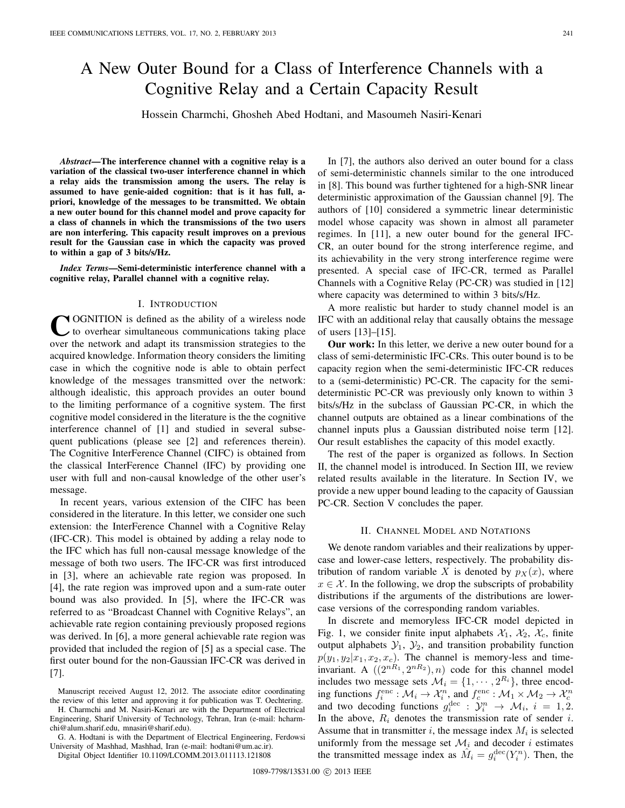# A New Outer Bound for a Class of Interference Channels with a Cognitive Relay and a Certain Capacity Result

Hossein Charmchi, Ghosheh Abed Hodtani, and Masoumeh Nasiri-Kenari

*Abstract***—The interference channel with a cognitive relay is a variation of the classical two-user interference channel in which a relay aids the transmission among the users. The relay is assumed to have genie-aided cognition: that is it has full, apriori, knowledge of the messages to be transmitted. We obtain a new outer bound for this channel model and prove capacity for a class of channels in which the transmissions of the two users are non interfering. This capacity result improves on a previous result for the Gaussian case in which the capacity was proved to within a gap of 3 bits/s/Hz.**

*Index Terms***—Semi-deterministic interference channel with a cognitive relay, Parallel channel with a cognitive relay.**

#### I. INTRODUCTION

COGNITION is defined as the ability of a wireless node<br>to overhear simultaneous communications taking place over the network and adapt its transmission strategies to the acquired knowledge. Information theory considers the limiting case in which the cognitive node is able to obtain perfect knowledge of the messages transmitted over the network: although idealistic, this approach provides an outer bound to the limiting performance of a cognitive system. The first cognitive model considered in the literature is the the cognitive interference channel of [1] and studied in several subsequent publications (please see [2] and references therein). The Cognitive InterFerence Channel (CIFC) is obtained from the classical InterFerence Channel (IFC) by providing one user with full and non-causal knowledge of the other user's message.

In recent years, various extension of the CIFC has been considered in the literature. In this letter, we consider one such extension: the InterFerence Channel with a Cognitive Relay (IFC-CR). This model is obtained by adding a relay node to the IFC which has full non-causal message knowledge of the message of both two users. The IFC-CR was first introduced in [3], where an achievable rate region was proposed. In [4], the rate region was improved upon and a sum-rate outer bound was also provided. In [5], where the IFC-CR was referred to as "Broadcast Channel with Cognitive Relays", an achievable rate region containing previously proposed regions was derived. In [6], a more general achievable rate region was provided that included the region of [5] as a special case. The first outer bound for the non-Gaussian IFC-CR was derived in [7].

Manuscript received August 12, 2012. The associate editor coordinating the review of this letter and approving it for publication was T. Oechtering. H. Charmchi and M. Nasiri-Kenari are with the Department of Electrical

Engineering, Sharif University of Technology, Tehran, Iran (e-mail: hcharmchi@alum.sharif.edu, mnasiri@sharif.edu). G. A. Hodtani is with the Department of Electrical Engineering, Ferdowsi

University of Mashhad, Mashhad, Iran (e-mail: hodtani@um.ac.ir).

Digital Object Identifier 10.1109/LCOMM.2013.011113.121808

In [7], the authors also derived an outer bound for a class of semi-deterministic channels similar to the one introduced in [8]. This bound was further tightened for a high-SNR linear deterministic approximation of the Gaussian channel [9]. The authors of [10] considered a symmetric linear deterministic model whose capacity was shown in almost all parameter regimes. In [11], a new outer bound for the general IFC-CR, an outer bound for the strong interference regime, and its achievability in the very strong interference regime were presented. A special case of IFC-CR, termed as Parallel Channels with a Cognitive Relay (PC-CR) was studied in [12] where capacity was determined to within 3 bits/s/Hz.

A more realistic but harder to study channel model is an IFC with an additional relay that causally obtains the message of users [13]–[15].

**Our work:** In this letter, we derive a new outer bound for a class of semi-deterministic IFC-CRs. This outer bound is to be capacity region when the semi-deterministic IFC-CR reduces to a (semi-deterministic) PC-CR. The capacity for the semideterministic PC-CR was previously only known to within 3 bits/s/Hz in the subclass of Gaussian PC-CR, in which the channel outputs are obtained as a linear combinations of the channel inputs plus a Gaussian distributed noise term [12]. Our result establishes the capacity of this model exactly.

The rest of the paper is organized as follows. In Section II, the channel model is introduced. In Section III, we review related results available in the literature. In Section IV, we provide a new upper bound leading to the capacity of Gaussian PC-CR. Section V concludes the paper.

### II. CHANNEL MODEL AND NOTATIONS

We denote random variables and their realizations by uppercase and lower-case letters, respectively. The probability distribution of random variable X is denoted by  $p_X(x)$ , where  $x \in \mathcal{X}$ . In the following, we drop the subscripts of probability distributions if the arguments of the distributions are lowercase versions of the corresponding random variables.

In discrete and memoryless IFC-CR model depicted in Fig. 1, we consider finite input alphabets  $\mathcal{X}_1$ ,  $\mathcal{X}_2$ ,  $\mathcal{X}_c$ , finite output alphabets  $\mathcal{Y}_1$ ,  $\mathcal{Y}_2$ , and transition probability function  $p(y_1, y_2 | x_1, x_2, x_c)$ . The channel is memory-less and timeinvariant. A  $((2^{nR_1}, 2^{nR_2}), n)$  code for this channel model includes two message sets  $\mathcal{M}_i = \{1, \cdots, 2^{R_i}\}\$ , three encoding functions  $f_i^{\text{enc}} : \mathcal{M}_i \to \mathcal{X}_i^n$ , and  $f_c^{\text{enc}} : \mathcal{M}_1 \times \mathcal{M}_2 \to \mathcal{X}_c^n$ <br>and two decoding functions  $g_i^{\text{dec}} : \mathcal{Y}_i^n \to \mathcal{M}_i$ ,  $i = 1, 2$ .<br>In the above  $R_i$  denotes the transmission rate of sender *i* In the above,  $R_i$  denotes the transmission rate of sender i. Assume that in transmitter  $i$ , the message index  $M_i$  is selected uniformly from the message set  $\mathcal{M}_i$  and decoder i estimates the transmitted message index as  $\hat{M}_i = g_i^{\text{dec}}(Y_i^n)$ . Then, the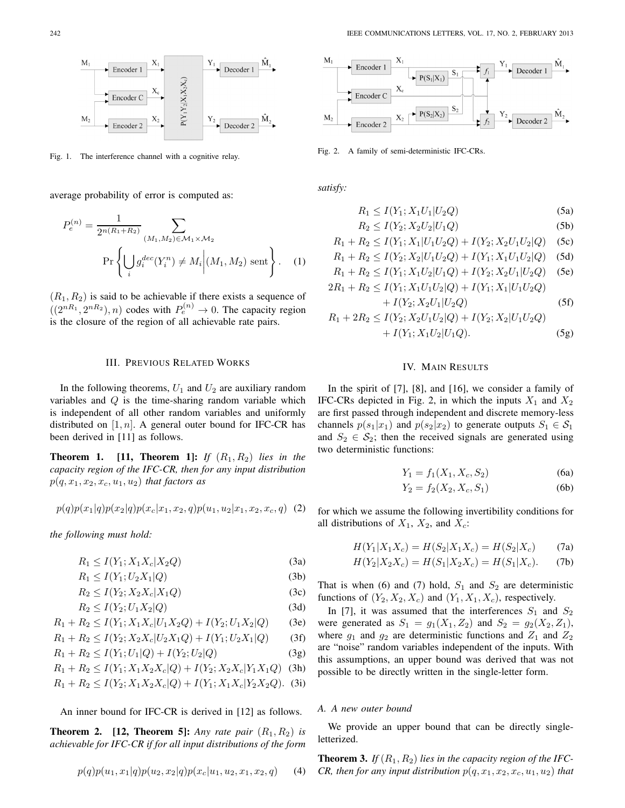Fig. 1. The interference channel with a cognitive relay.

average probability of error is computed as:

$$
P_e^{(n)} = \frac{1}{2^{n(R_1 + R_2)}} \sum_{(M_1, M_2) \in \mathcal{M}_1 \times \mathcal{M}_2}
$$
  
Pr $\left\{ \bigcup_i g_i^{dec}(Y_i^n) \neq M_i \middle| (M_1, M_2) \text{ sent} \right\}.$  (1)

 $(R_1, R_2)$  is said to be achievable if there exists a sequence of  $((2^{nR_1}, 2^{nR_2}), n)$  codes with  $P_e^{(n)} \to 0$ . The capacity region is the closure of the region of all achievable rate pairs.

#### III. PREVIOUS RELATED WORKS

In the following theorems,  $U_1$  and  $U_2$  are auxiliary random variables and  $Q$  is the time-sharing random variable which is independent of all other random variables and uniformly distributed on  $[1, n]$ . A general outer bound for IFC-CR has been derived in [11] as follows.

**Theorem 1.** [11, **Theorem 1]:** If  $(R_1, R_2)$  lies in the *capacity region of the IFC-CR, then for any input distribution*  $p(q, x_1, x_2, x_c, u_1, u_2)$  *that factors as* 

$$
p(q)p(x_1|q)p(x_2|q)p(x_c|x_1,x_2,q)p(u_1,u_2|x_1,x_2,x_c,q)
$$
 (2)

*the following must hold:*

$$
R_1 \le I(Y_1; X_1 X_c | X_2 Q) \tag{3a}
$$

$$
R_1 \le I(Y_1; U_2 X_1 | Q) \tag{3b}
$$

$$
R_2 \le I(Y_2; X_2 X_c | X_1 Q) \tag{3c}
$$

$$
R_2 \le I(Y_2; U_1 X_2 | Q)
$$
\n(3d)\n
$$
P_1 \le I(Y_1, Y_2 | Y_1 | Y_2 | Q) + I(Y_1 | Y_2 | Q)
$$
\n(3e)\n(3f)

$$
R_1 + R_2 \le I(Y_1; X_1 X_c | U_1 X_2 Q) + I(Y_2; U_1 X_2 | Q)
$$
 (3e)

$$
R_1 + R_2 \le I(Y_2; X_2 X_c | U_2 X_1 Q) + I(Y_1; U_2 X_1 | Q)
$$
 (3f)

$$
R_1 + R_2 \le I(Y_1; U_1 | Q) + I(Y_2; U_2 | Q)
$$
\n<sup>(3g)</sup>

$$
R_1 + R_2 \le I(Y_1; X_1 X_2 X_c | Q) + I(Y_2; X_2 X_c | Y_1 X_1 Q)
$$
 (3h)

$$
R_1 + R_2 \le I(Y_2; X_1 X_2 X_c | Q) + I(Y_1; X_1 X_c | Y_2 X_2 Q). \tag{31}
$$

An inner bound for IFC-CR is derived in [12] as follows.

**Theorem 2.** [12, **Theorem 5]:** *Any rate pair*  $(R_1, R_2)$  *is achievable for IFC-CR if for all input distributions of the form*

$$
p(q)p(u_1, x_1|q)p(u_2, x_2|q)p(x_c|u_1, u_2, x_1, x_2, q) \qquad (4)
$$



Fig. 2. A family of semi-deterministic IFC-CRs.

*satisfy:*

$$
R_1 \le I(Y_1; X_1 U_1 | U_2 Q) \tag{5a}
$$

$$
R_2 \le I(Y_2; X_2 U_2 | U_1 Q) \tag{5b}
$$

$$
R_1 + R_2 \le I(Y_1; X_1 | U_1 U_2 Q) + I(Y_2; X_2 U_1 U_2 | Q) \quad (5c)
$$

$$
R_1 + R_2 \le I(Y_2; X_2 | U_1 U_2 Q) + I(Y_1; X_1 U_1 U_2 | Q) \tag{5d}
$$

$$
R_1 + R_2 \le I(Y_1; X_1 U_2 | U_1 Q) + I(Y_2; X_2 U_1 | U_2 Q) \quad \text{(5e)}
$$

$$
2R_1 + R_2 \le I(Y_1; X_1U_1U_2|Q) + I(Y_1; X_1|U_1U_2Q)
$$
  
+  $I(Y_2; X_2U_1|U_2Q)$  (5f)

$$
R_1 + 2R_2 \le I(Y_2; X_2U_1U_2|Q) + I(Y_2; X_2|U_1U_2Q) + I(Y_1; X_1U_2|U_1Q).
$$
 (5g)

### IV. MAIN RESULTS

In the spirit of [7], [8], and [16], we consider a family of IFC-CRs depicted in Fig. 2, in which the inputs  $X_1$  and  $X_2$ are first passed through independent and discrete memory-less channels  $p(s_1|x_1)$  and  $p(s_2|x_2)$  to generate outputs  $S_1 \in S_1$ and  $S_2 \in S_2$ ; then the received signals are generated using two deterministic functions:

$$
Y_1 = f_1(X_1, X_c, S_2)
$$
\n
$$
(6a)
$$
\n
$$
(7b)
$$

$$
Y_2 = f_2(X_2, X_c, S_1)
$$
 (6b)

for which we assume the following invertibility conditions for all distributions of  $X_1$ ,  $X_2$ , and  $X_c$ :

$$
H(Y_1|X_1X_c) = H(S_2|X_1X_c) = H(S_2|X_c)
$$
 (7a)

$$
H(Y_2|X_2X_c) = H(S_1|X_2X_c) = H(S_1|X_c).
$$
 (7b)

That is when (6) and (7) hold,  $S_1$  and  $S_2$  are deterministic functions of  $(Y_2, X_2, X_c)$  and  $(Y_1, X_1, X_c)$ , respectively.

In [7], it was assumed that the interferences  $S_1$  and  $S_2$ were generated as  $S_1 = g_1(X_1, Z_2)$  and  $S_2 = g_2(X_2, Z_1)$ , where  $g_1$  and  $g_2$  are deterministic functions and  $Z_1$  and  $Z_2$ are "noise" random variables independent of the inputs. With this assumptions, an upper bound was derived that was not possible to be directly written in the single-letter form.

### *A. A new outer bound*

We provide an upper bound that can be directly singleletterized.

**Theorem 3.** If  $(R_1, R_2)$  lies in the capacity region of the IFC-*CR, then for any input distribution*  $p(q, x_1, x_2, x_c, u_1, u_2)$  *that*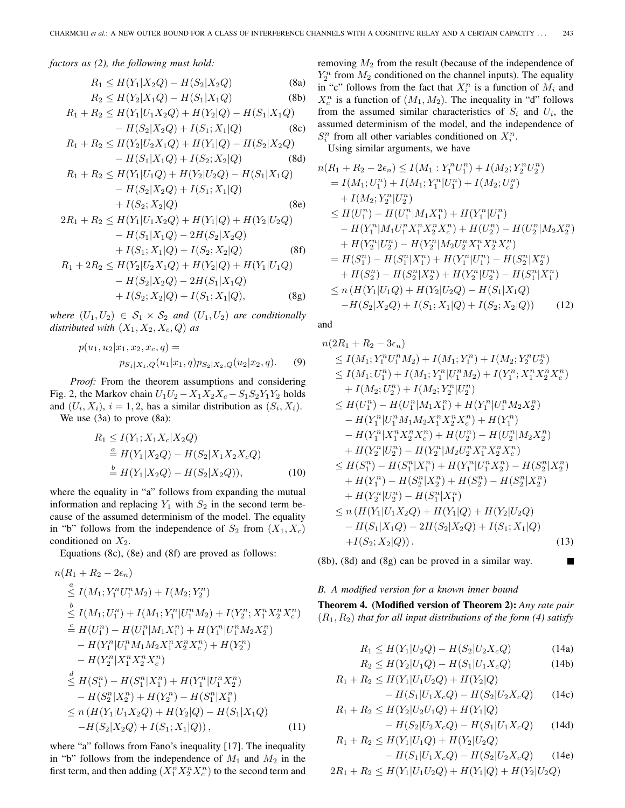*factors as (2), the following must hold:*

$$
R_1 \le H(Y_1|X_2Q) - H(S_2|X_2Q)
$$
 (8a)  

$$
R_2 \le H(Y_1|Y_2Q) - H(Z_1|Y_2Q)
$$
 (8b)

$$
R_2 \le H(Y_2|X_1Q) - H(S_1|X_1Q)
$$
 (8b)  

$$
R_1 + R_2 \le H(Y_1|U_1X_2Q) + H(Y_2|Q) - H(S_1|X_1Q)
$$

$$
-H(S_2|X_2Q) + I(S_1; X_1|Q) \qquad (8c)
$$

$$
R_1 + R_2 \le H(Y_2 | U_2 X_1 Q) + H(Y_1 | Q) - H(S_2 | X_2 Q)
$$
  
- 
$$
H(S_1 | X_1 Q) + I(S_2; X_2 | Q)
$$
 (8d)

$$
R_1 + R_2 \le H(Y_1|U_1Q) + H(Y_2|U_2Q) - H(S_1|X_1Q)
$$
  
-  $H(S_2|X_2Q) + I(S_1; X_1|Q)$   
+  $I(S_2; X_2|Q)$  (8e)  
 $P_1 + P_2 \le H(Y|U_1 \le Q) + H(Y|Q) + H(Y|U_1|Q)$ 

$$
2R_1 + R_2 \le H(Y_1|U_1X_2Q) + H(Y_1|Q) + H(Y_2|U_2Q)
$$
  
\n
$$
- H(S_1|X_1Q) - 2H(S_2|X_2Q)
$$
  
\n
$$
+ I(S_1; X_1|Q) + I(S_2; X_2|Q)
$$
(8f)  
\n
$$
R_1 + 2R_2 \le H(Y_2|U_2X_1Q) + H(Y_2|Q) + H(Y_1|U_1Q)
$$
  
\n
$$
- H(S_2|X_2Q) - 2H(S_1|X_1Q)
$$
  
\n
$$
+ I(S_2; X_2|Q) + I(S_1; X_1|Q),
$$
(8g)

*where*  $(U_1, U_2) \in S_1 \times S_2$  *and*  $(U_1, U_2)$  *are conditionally distributed with*  $(X_1, X_2, X_c, Q)$  *as* 

$$
p(u_1, u_2 | x_1, x_2, x_c, q) =
$$
  
\n
$$
p_{S_1 | X_1, Q}(u_1 | x_1, q) p_{S_2 | X_2, Q}(u_2 | x_2, q).
$$
 (9)

*Proof:* From the theorem assumptions and considering Fig. 2, the Markov chain  $U_1U_2 - X_1X_2X_c - S_1S_2Y_1Y_2$  holds and  $(U_i, X_i)$ ,  $i = 1, 2$ , has a similar distribution as  $(S_i, X_i)$ . We use  $(3a)$  to prove  $(8a)$ :

$$
R_1 \le I(Y_1; X_1X_c|X_2Q)
$$
  
\n
$$
\stackrel{a}{=} H(Y_1|X_2Q) - H(S_2|X_1X_2X_cQ)
$$
  
\n
$$
\stackrel{b}{=} H(Y_1|X_2Q) - H(S_2|X_2Q)),
$$
\n(10)

where the equality in "a" follows from expanding the mutual information and replacing  $Y_1$  with  $S_2$  in the second term because of the assumed determinism of the model. The equality in "b" follows from the independence of  $S_2$  from  $(X_1, X_c)$ conditioned on  $X_2$ .

Equations (8c), (8e) and (8f) are proved as follows:

$$
n(R_1 + R_2 - 2\epsilon_n)
$$
  
\n
$$
\leq I(M_1; Y_1^n U_1^n M_2) + I(M_2; Y_2^n)
$$
  
\n
$$
\leq I(M_1; U_1^n) + I(M_1; Y_1^n | U_1^n M_2) + I(Y_2^n; X_1^n X_2^n X_2^n)
$$
  
\n
$$
\leq H(U_1^n) - H(U_1^n | M_1 X_1^n) + H(Y_1^n | U_1^n M_2 X_2^n)
$$
  
\n
$$
- H(Y_1^n | U_1^n M_1 M_2 X_1^n X_2^n X_2^n) + H(Y_2^n)
$$
  
\n
$$
- H(Y_2^n | X_1^n X_2^n X_2^n)
$$
  
\n
$$
\leq H(S_1^n) - H(S_1^n | X_1^n) + H(Y_1^n | U_1^n X_2^n)
$$
  
\n
$$
- H(S_2^n | X_2^n) + H(Y_2^n) - H(S_1^n | X_1^n)
$$
  
\n
$$
\leq n (H(Y_1 | U_1 X_2 Q) + H(Y_2 | Q) - H(S_1 | X_1 Q))
$$
  
\n
$$
-H(S_2 | X_2 Q) + I(S_1; X_1 | Q)),
$$
  
\n(11)

where "a" follows from Fano's inequality [17]. The inequality in "b" follows from the independence of  $M_1$  and  $M_2$  in the first term, and then adding  $(X_1^n X_2^n X_c^n)$  to the second term and

removing  $M_2$  from the result (because of the independence of  $Y_2^n$  from  $M_2$  conditioned on the channel inputs). The equality<br>in "c" follows from the fact that  $X^n$  is a function of M, and in "c" follows from the fact that  $X_i^n$  is a function of  $M_i$  and  $X^n$  is a function of  $(M_i, M_0)$ . The inequality in "d" follows  $X_c^n$  is a function of  $(M_1, M_2)$ . The inequality in "d" follows<br>from the assumed similar characteristics of S<sub>1</sub> and *II*, the from the assumed similar characteristics of  $S_i$  and  $U_i$ , the assumed determinism of the model, and the independence of  $S_i^n$  from all other variables conditioned on  $X_i^n$ .<br>*I*sing similar arguments, we have

Using similar arguments, we have

$$
n(R_1 + R_2 - 2\epsilon_n) \le I(M_1 : Y_1^n U_1^n) + I(M_2; Y_2^n U_2^n)
$$
  
=  $I(M_1; U_1^n) + I(M_1; Y_1^n | U_1^n) + I(M_2; U_2^n)$   
+  $I(M_2; Y_2^n | U_2^n)$   
 $\le H(U_1^n) - H(U_1^n | M_1 X_1^n) + H(Y_1^n | U_1^n)$   
-  $H(Y_1^n | M_1 U_1^n X_1^n X_2^n X_2^n) + H(U_2^n) - H(U_2^n | M_2 X_2^n)$   
+  $H(Y_2^n | U_2^n) - H(Y_2^n | M_2 U_2^n X_1^n X_2^n X_2^n)$   
=  $H(S_1^n) - H(S_1^n | X_1^n) + H(Y_1^n | U_1^n) - H(S_2^n | X_2^n)$   
+  $H(S_2^n) - H(S_2^n | X_2^n) + H(Y_2^n | U_2^n) - H(S_1^n | X_1^n)$   
 $\le n(H(Y_1 | U_1 Q) + H(Y_2 | U_2 Q) - H(S_1 | X_1 Q)$   
-  $H(S_2 | X_2 Q) + I(S_1; X_1 | Q) + I(S_2; X_2 | Q)$ ) (12)

and

$$
n(2R_1 + R_2 - 3\epsilon_n)
$$
  
\n
$$
\leq I(M_1; Y_1^n U_1^n M_2) + I(M_1; Y_1^n) + I(M_2; Y_2^n U_2^n)
$$
  
\n
$$
\leq I(M_1; U_1^n) + I(M_1; Y_1^n | U_1^n M_2) + I(Y_1^n; X_1^n X_2^n X_2^n)
$$
  
\n
$$
+ I(M_2; U_2^n) + I(M_2; Y_2^n | U_2^n)
$$
  
\n
$$
\leq H(U_1^n) - H(U_1^n | M_1 X_1^n) + H(Y_1^n | U_1^n M_2 X_2^n)
$$
  
\n
$$
- H(Y_1^n | U_1^n M_1 M_2 X_1^n X_2^n X_2^n) + H(Y_1^n)
$$
  
\n
$$
- H(Y_1^n | X_1^n X_2^n X_2^n) + H(U_2^n) - H(U_2^n | M_2 X_2^n)
$$
  
\n
$$
+ H(Y_2^n | U_2^n) - H(Y_2^n | M_2 U_2^n X_1^n X_2^n X_2^n)
$$
  
\n
$$
\leq H(S_1^n) - H(S_1^n | X_1^n) + H(Y_1^n | U_1^n X_2^n) - H(S_2^n | X_2^n)
$$
  
\n
$$
+ H(Y_1^n) - H(S_2^n | X_2^n) + H(S_2^n) - H(S_2^n | X_2^n)
$$
  
\n
$$
+ H(Y_2^n | U_2^n) - H(S_1^n | X_1^n)
$$
  
\n
$$
\leq n (H(Y_1 | U_1 X_2 Q) + H(Y_1 | Q) + H(Y_2 | U_2 Q)
$$
  
\n
$$
- H(S_1 | X_1 Q) - 2H(S_2 | X_2 Q) + I(S_1; X_1 | Q)
$$
  
\n
$$
+ I(S_2; X_2 | Q)).
$$
  
\n(13)

(8b), (8d) and (8g) can be proved in a similar way.

## *B. A modified version for a known inner bound*

**Theorem 4. (Modified version of Theorem 2):** *Any rate pair*  $(R_1, R_2)$  *that for all input distributions of the form (4) satisfy* 

$$
R_1 \le H(Y_1|U_2Q) - H(S_2|U_2X_cQ)
$$
(14a)  

$$
R_2 \le H(Y_1|U_2Q) - H(Y_1|U_2Q) \tag{14b}
$$

$$
R_2 \le H(Y_2|U_1Q) - H(S_1|U_1X_cQ) \tag{14b}
$$

$$
R_1 + R_2 \le H(Y_1 | U_1 U_2 Q) + H(Y_2 | Q)
$$

$$
- H(S_1 | U_1 X_c Q) - H(S_2 | U_2 X_c Q) \qquad (14c)
$$

$$
R_1 + R_2 \le H(Y_2 | U_2 U_1 Q) + H(Y_1 | Q)
$$
  
-  $H(S_2 | U_2 X_c Q) - H(S_1 | U_1 X_c Q)$  (14d)

$$
R_1 + R_2 \le H(Y_1 | U_1 Q) + H(Y_2 | U_2 Q)
$$
  
- H(S<sub>1</sub>|U<sub>1</sub>X<sub>c</sub>Q) - H(S<sub>2</sub>|U<sub>2</sub>X<sub>c</sub>Q) (14e)  
2R<sub>1</sub> + R<sub>2</sub>  $\le H(Y_1 | U_1 U_2 Q) + H(Y_1 | Q) + H(Y_2 | U_2 Q)$